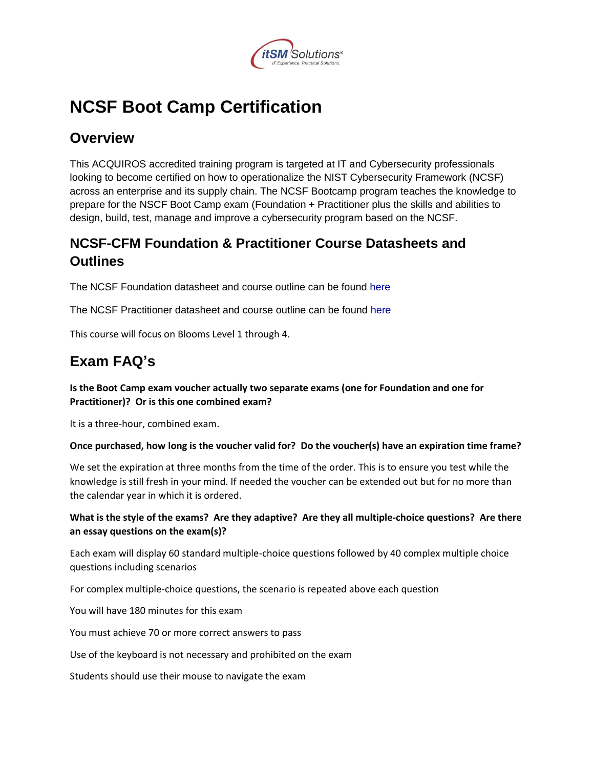

# **NCSF Boot Camp Certification**

### **Overview**

This ACQUIROS accredited training program is targeted at IT and Cybersecurity professionals looking to become certified on how to operationalize the NIST Cybersecurity Framework (NCSF) across an enterprise and its supply chain. The NCSF Bootcamp program teaches the knowledge to prepare for the NSCF Boot Camp exam (Foundation + Practitioner plus the skills and abilities to design, build, test, manage and improve a cybersecurity program based on the NCSF.

### **NCSF-CFM Foundation & Practitioner Course Datasheets and Outlines**

The NCSF Foundation datasheet and course outline can be found [here](https://nistcsf.com/wp-content/uploads/2017/06/NCSF-Datasheet-Foundation-1.pdf)

The NCSF Practitioner datasheet and course outline can be found [here](https://nistcsf.com/wp-content/uploads/2017/06/NCSF-Datasheet-Practitioner.pdf)

This course will focus on Blooms Level 1 through 4.

## **Exam FAQ's**

**Is the Boot Camp exam voucher actually two separate exams (one for Foundation and one for Practitioner)? Or is this one combined exam?**

It is a three-hour, combined exam.

#### **Once purchased, how long is the voucher valid for? Do the voucher(s) have an expiration time frame?**

We set the expiration at three months from the time of the order. This is to ensure you test while the knowledge is still fresh in your mind. If needed the voucher can be extended out but for no more than the calendar year in which it is ordered.

#### **What is the style of the exams? Are they adaptive? Are they all multiple-choice questions? Are there an essay questions on the exam(s)?**

Each exam will display 60 standard multiple-choice questions followed by 40 complex multiple choice questions including scenarios

For complex multiple-choice questions, the scenario is repeated above each question

You will have 180 minutes for this exam

You must achieve 70 or more correct answers to pass

Use of the keyboard is not necessary and prohibited on the exam

Students should use their mouse to navigate the exam